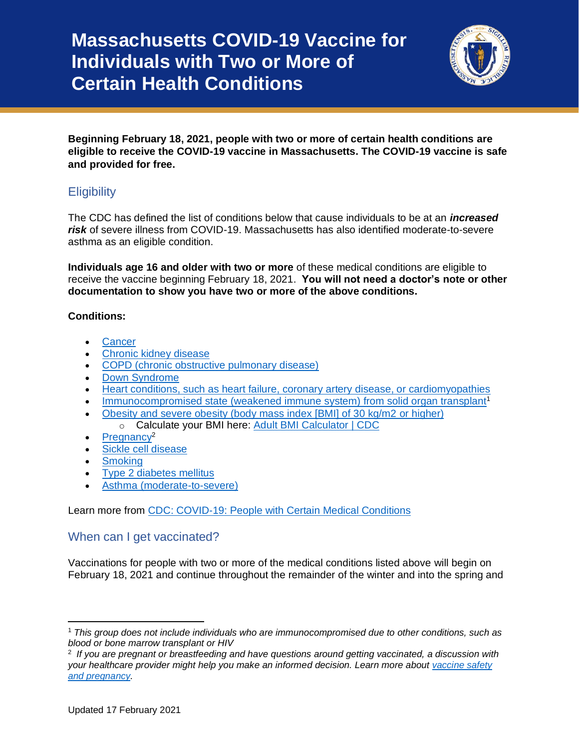# **Massachusetts COVID-19 Vaccine for Individuals with Two or More of Certain Health Conditions**



**Beginning February 18, 2021, people with two or more of certain health conditions are eligible to receive the COVID-19 vaccine in Massachusetts. The COVID-19 vaccine is safe and provided for free.**

# **Eligibility**

The CDC has defined the list of conditions below that cause individuals to be at an *increased risk* of severe illness from COVID-19. Massachusetts has also identified moderate-to-severe asthma as an eligible condition.

**Individuals age 16 and older with two or more** of these medical conditions are eligible to receive the vaccine beginning February 18, 2021. **You will not need a doctor's note or other documentation to show you have two or more of the above conditions.**

#### **Conditions:**

- [Cancer](https://www.cdc.gov/coronavirus/2019-ncov/need-extra-precautions/people-with-medical-conditions.html#cancer)
- [Chronic kidney disease](https://www.cdc.gov/coronavirus/2019-ncov/need-extra-precautions/people-with-medical-conditions.html#chronic-kidney-disease)
- [COPD \(chronic obstructive pulmonary disease\)](https://www.cdc.gov/coronavirus/2019-ncov/need-extra-precautions/people-with-medical-conditions.html#copd)
- [Down Syndrome](https://www.cdc.gov/coronavirus/2019-ncov/need-extra-precautions/people-with-medical-conditions.html#downsyndrome)
- [Heart conditions, such as heart failure, coronary artery disease, or cardiomyopathies](https://www.cdc.gov/coronavirus/2019-ncov/need-extra-precautions/people-with-medical-conditions.html#heart-conditions)
- [Immunocompromised state \(weakened immune system\) from solid organ transplant](https://www.cdc.gov/coronavirus/2019-ncov/need-extra-precautions/people-with-medical-conditions.html#immunocompromised-state)<sup>1</sup>
- [Obesity and severe obesity \(body mass index \[BMI\] of 30 kg/m2](https://www.cdc.gov/coronavirus/2019-ncov/need-extra-precautions/people-with-medical-conditions.html#obesity) or higher) o Calculate your BMI here: [Adult BMI Calculator](https://www.cdc.gov/healthyweight/assessing/bmi/adult_bmi/english_bmi_calculator/bmi_calculator.html) | CDC
- [Pregnancy](https://www.cdc.gov/coronavirus/2019-ncov/need-extra-precautions/people-with-medical-conditions.html#pregnancy)<sup>2</sup>
- [Sickle cell disease](https://www.cdc.gov/coronavirus/2019-ncov/need-extra-precautions/people-with-medical-conditions.html#hemoglobin-disorders)
- **[Smoking](https://www.cdc.gov/coronavirus/2019-ncov/need-extra-precautions/people-with-medical-conditions.html#smoking)**
- [Type 2 diabetes mellitus](https://www.cdc.gov/coronavirus/2019-ncov/need-extra-precautions/people-with-medical-conditions.html#diabetes)
- [Asthma \(moderate-to-severe\)](https://www.cdc.gov/coronavirus/2019-ncov/need-extra-precautions/people-with-medical-conditions.html#asthma)

Learn more from CDC: [COVID-19: People with Certain Medical Conditions](https://www.cdc.gov/coronavirus/2019-ncov/need-extra-precautions/people-with-medical-conditions.html)

### When can I get vaccinated?

Vaccinations for people with two or more of the medical conditions listed above will begin on February 18, 2021 and continue throughout the remainder of the winter and into the spring and

<sup>1</sup> *This group does not include individuals who are immunocompromised due to other conditions, such as blood or bone marrow transplant or HIV*

<sup>2</sup> *If you are pregnant or breastfeeding and have questions around getting vaccinated, a discussion with your healthcare provider might help you make an informed decision. Learn more about [vaccine safety](https://www.mass.gov/info-details/covid-19-vaccine-frequently-asked-questions#vaccine-safety-)  [and pregnancy.](https://www.mass.gov/info-details/covid-19-vaccine-frequently-asked-questions#vaccine-safety-)*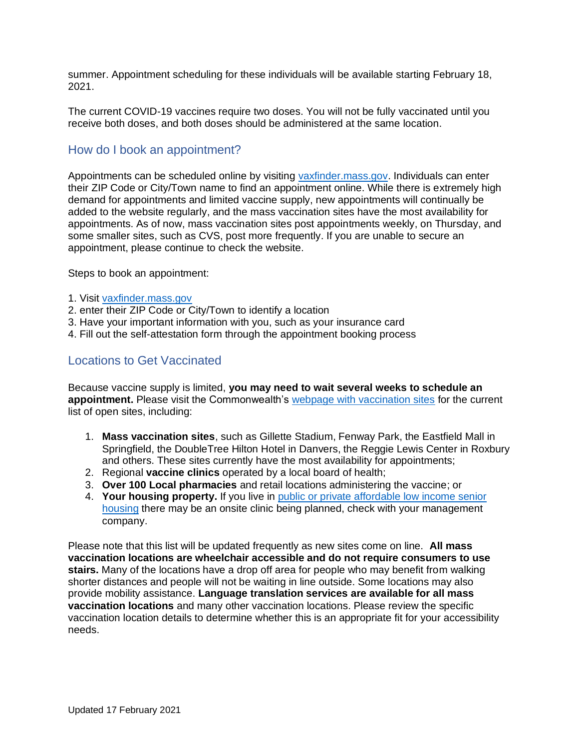summer. Appointment scheduling for these individuals will be available starting February 18, 2021.

The current COVID-19 vaccines require two doses. You will not be fully vaccinated until you receive both doses, and both doses should be administered at the same location.

## How do I book an appointment?

Appointments can be scheduled online by visiting [vaxfinder.mass.gov.](file:///C:/Users/JJacob/AppData/Local/Microsoft/Windows/INetCache/Content.Outlook/C2FUOKNO/vaxfinder.mass.gov) Individuals can enter their ZIP Code or City/Town name to find an appointment online. While there is extremely high demand for appointments and limited vaccine supply, new appointments will continually be added to the website regularly, and the mass vaccination sites have the most availability for appointments. As of now, mass vaccination sites post appointments weekly, on Thursday, and some smaller sites, such as CVS, post more frequently. If you are unable to secure an appointment, please continue to check the website.

Steps to book an appointment:

- 1. Visit [vaxfinder.mass.gov](file:///C:/Users/TMcNamara/AppData/Local/Microsoft/Windows/INetCache/Content.Outlook/10Z89PH9/vaxfinder.mass.gov)
- 2. enter their ZIP Code or City/Town to identify a location
- 3. Have your important information with you, such as your insurance card
- 4. Fill out the self-attestation form through the appointment booking process

#### Locations to Get Vaccinated

Because vaccine supply is limited, **you may need to wait several weeks to schedule an appointment.** Please visit the Commonwealth's [webpage with vaccination sites](https://www.mass.gov/info-details/covid-19-vaccine-locations-for-individuals-in-phase-1) for the current list of open sites, including:

- 1. **Mass vaccination sites**, such as Gillette Stadium, Fenway Park, the Eastfield Mall in Springfield, the DoubleTree Hilton Hotel in Danvers, the Reggie Lewis Center in Roxbury and others. These sites currently have the most availability for appointments;
- 2. Regional **vaccine clinics** operated by a local board of health;
- 3. **Over 100 Local pharmacies** and retail locations administering the vaccine; or
- 4. **Your housing property.** If you live in [public or private affordable low income senior](https://www.mass.gov/info-details/covid-19-vaccinations-for-senior-housing-settings)  [housing](https://www.mass.gov/info-details/covid-19-vaccinations-for-senior-housing-settings) there may be an onsite clinic being planned, check with your management company.

Please note that this list will be updated frequently as new sites come on line. **All mass vaccination locations are wheelchair accessible and do not require consumers to use stairs.** Many of the locations have a drop off area for people who may benefit from walking shorter distances and people will not be waiting in line outside. Some locations may also provide mobility assistance. **Language translation services are available for all mass vaccination locations** and many other vaccination locations. Please review the specific vaccination location details to determine whether this is an appropriate fit for your accessibility needs.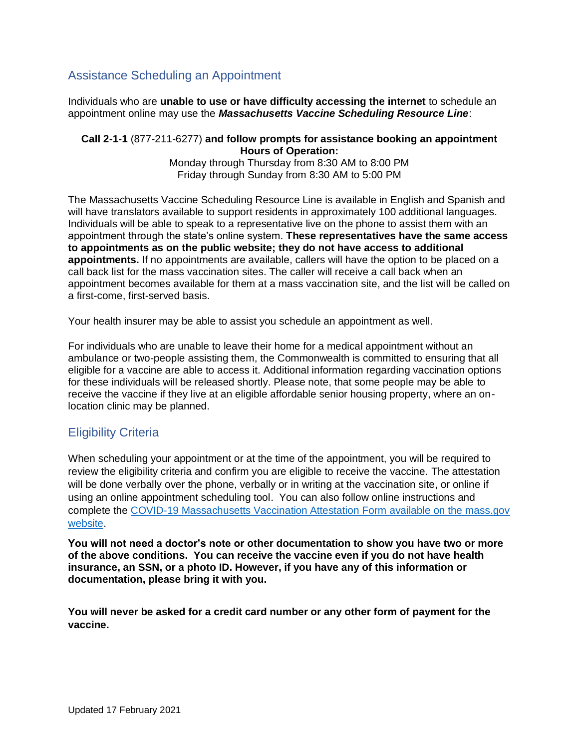## Assistance Scheduling an Appointment

Individuals who are **unable to use or have difficulty accessing the internet** to schedule an appointment online may use the *Massachusetts Vaccine Scheduling Resource Line*:

#### **Call 2-1-1** (877-211-6277) **and follow prompts for assistance booking an appointment Hours of Operation:** Monday through Thursday from 8:30 AM to 8:00 PM

Friday through Sunday from 8:30 AM to 5:00 PM

The Massachusetts Vaccine Scheduling Resource Line is available in English and Spanish and will have translators available to support residents in approximately 100 additional languages. Individuals will be able to speak to a representative live on the phone to assist them with an appointment through the state's online system. **These representatives have the same access to appointments as on the public website; they do not have access to additional appointments.** If no appointments are available, callers will have the option to be placed on a call back list for the mass vaccination sites. The caller will receive a call back when an appointment becomes available for them at a mass vaccination site, and the list will be called on a first-come, first-served basis.

Your health insurer may be able to assist you schedule an appointment as well.

For individuals who are unable to leave their home for a medical appointment without an ambulance or two-people assisting them, the Commonwealth is committed to ensuring that all eligible for a vaccine are able to access it. Additional information regarding vaccination options for these individuals will be released shortly. Please note, that some people may be able to receive the vaccine if they live at an eligible affordable senior housing property, where an onlocation clinic may be planned.

# Eligibility Criteria

When scheduling your appointment or at the time of the appointment, you will be required to review the eligibility criteria and confirm you are eligible to receive the vaccine. The attestation will be done verbally over the phone, verbally or in writing at the vaccination site, or online if using an online appointment scheduling tool. You can also follow online instructions and complete the [COVID-19 Massachusetts Vaccination Attestation Form](https://www.mass.gov/forms/covid-19-massachusetts-vaccination-attestation-form) available on the mass.gov website.

**You will not need a doctor's note or other documentation to show you have two or more of the above conditions. You can receive the vaccine even if you do not have health insurance, an SSN, or a photo ID. However, if you have any of this information or documentation, please bring it with you.**

**You will never be asked for a credit card number or any other form of payment for the vaccine.**